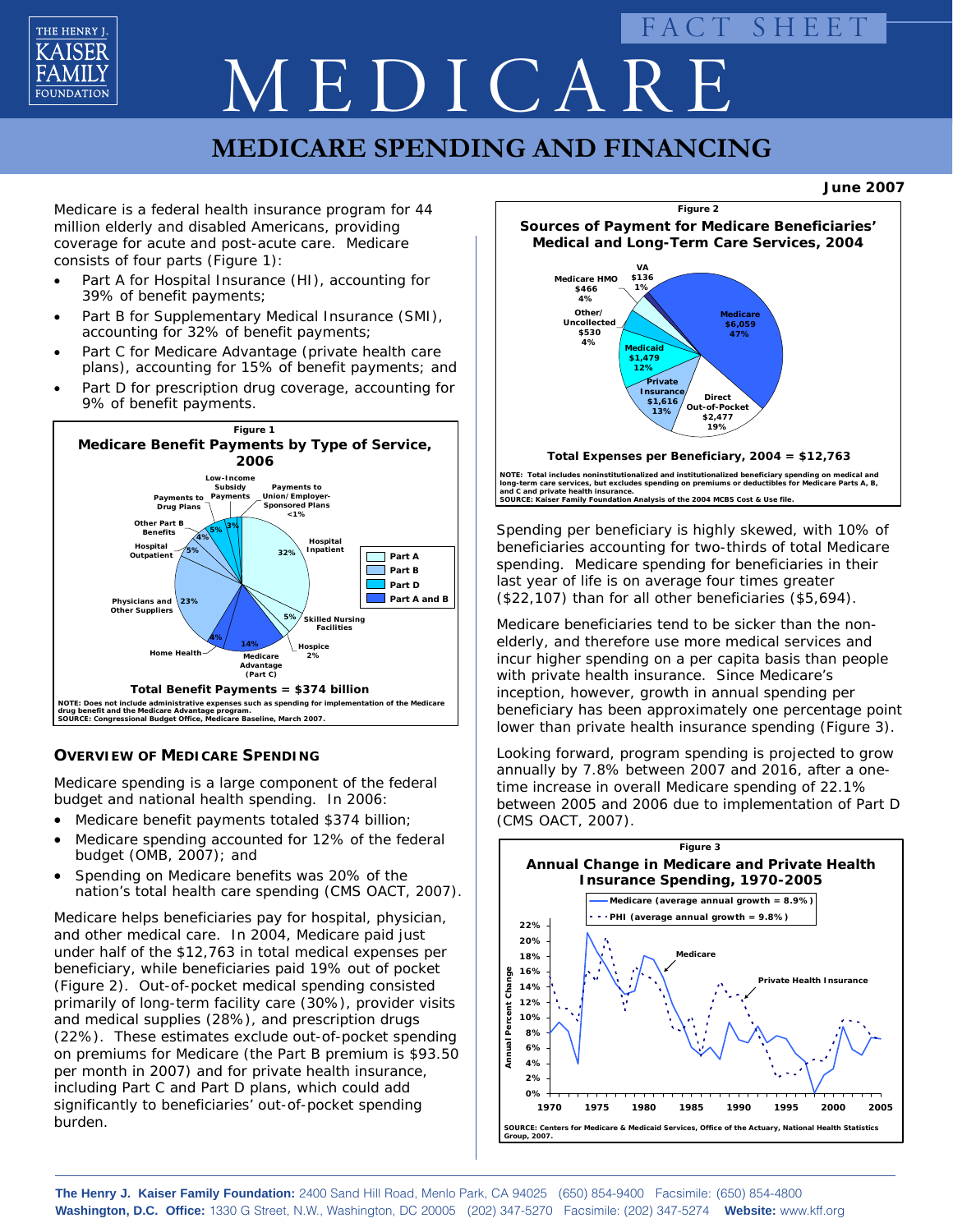

# FACT SHEET MEDICAR.

# **MEDICARE SPENDING AND FINANCING**

**June 2007**

Medicare is a federal health insurance program for 44 million elderly and disabled Americans, providing coverage for acute and post-acute care. Medicare consists of four parts (Figure 1):

- Part A for Hospital Insurance (HI), accounting for 39% of benefit payments;
- Part B for Supplementary Medical Insurance (SMI), accounting for 32% of benefit payments;
- Part C for Medicare Advantage (private health care plans), accounting for 15% of benefit payments; and
- Part D for prescription drug coverage, accounting for 9% of benefit payments.



## **OVERVIEW OF MEDICARE SPENDING**

Medicare spending is a large component of the federal budget and national health spending. In 2006:

- Medicare benefit payments totaled \$374 billion;
- Medicare spending accounted for 12% of the federal budget (OMB,  $2007$ ); and
- Spending on Medicare benefits was 20% of the nation's total health care spending (CMS OACT, 2007).

Medicare helps beneficiaries pay for hospital, physician, and other medical care. In 2004, Medicare paid just under half of the \$12,763 in total medical expenses per beneficiary, while beneficiaries paid 19% out of pocket (Figure 2). Out-of-pocket medical spending consisted primarily of long-term facility care (30%), provider visits and medical supplies (28%), and prescription drugs (22%). These estimates exclude out-of-pocket spending on premiums for Medicare (the Part B premium is \$93.50 per month in 2007) and for private health insurance, including Part C and Part D plans, which could add significantly to beneficiaries' out-of-pocket spending burden.



Spending per beneficiary is highly skewed, with 10% of **and C and private health insurance. SOURCE: Kaiser Family Foundation Analysis of the 2004 MCBS Cost & Use file.**

beneficiaries accounting for two-thirds of total Medicare spending. Medicare spending for beneficiaries in their last year of life is on average four times greater (\$22,107) than for all other beneficiaries (\$5,694).

Medicare beneficiaries tend to be sicker than the nonelderly, and therefore use more medical services and incur higher spending on a per capita basis than people with private health insurance. Since Medicare's inception, however, growth in annual spending per beneficiary has been approximately one percentage point lower than private health insurance spending (Figure 3).

Looking forward, program spending is projected to grow annually by 7.8% between 2007 and 2016, after a onetime increase in overall Medicare spending of 22.1% between 2005 and 2006 due to implementation of Part D (CMS OACT, 2007).